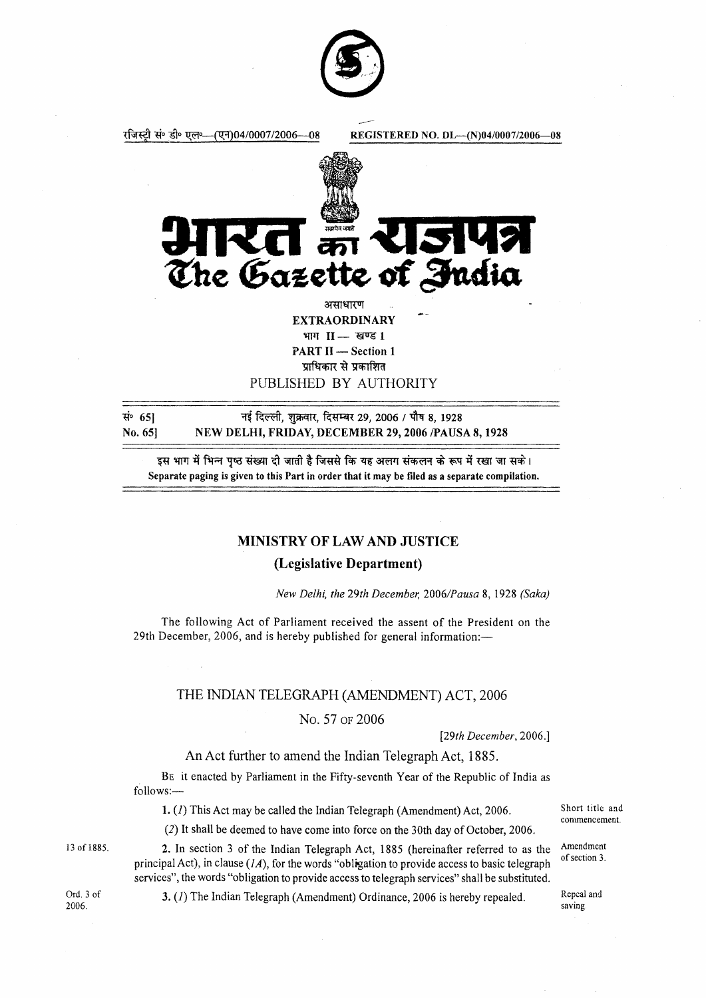

रजिस्ट्री सं॰ डी॰ एल॰---(एन)04/0007/2006---08 REGISTERED NO. DL---(N)04/0007/2006---08



EXTRAORDINARY भाग $II -$  खण्ड 1 PART II - Section 1 प्राधिकार से प्रकाशित

PUBLISHED BY AUTHORITY

सं 651 No. 65] नई दिल्ली, शुक्रवार, दिसम्बर 29, 2006 / पौष 8, 1928 NEW DELHI, FRIDAY, DECEMBER 29, 2006 /PAUSA 8, 1928

इस भाग में भिन्न पृष्ठ संख्या दी जाती है जिससे कि यह अलग संकलन के रूप में रखा जा सके। Separate paging is given to this Part in order that it may be filed as a separate compilation.

## MINISTRY OF LAW AND JUSTICE

(Legislative Department)

New Delhi, the 29th December, 2006/Pausa 8, 1928 (Saka)

The following Act of Parliament received the assent of the President on the 29th December, 2006, and is hereby published for general information:-

## THE INDIAN TELEGRAPH (AMENDMENT) ACT, 2006

No. 57 or 2006

[29th December, 2006.]

## An Act further to amend the Indian Telegraph Act, 1885.

BE it enacted by Parliament in the Fifty-seventh Year of the Republic of India as follows:-

1. (1) This Act may be called the Indian Telegraph (Amendment) Act, 2006.

(2) It shall be deemed to have come into force on the 30th day of October, 2006.

2. In section 3 of the Indian Telegraph Act, 1885 (hereinafter referred to as the principal Act), in clause  $(1A)$ , for the words "obligation to provide access to basic telegraph services", the words "obligation to provide access to telegraph services" shall be substituted.

Ord. 3 of 2006.

l3 of 1885.

3. (1) The indian Telegraph (Amendment) Ordinance, 2006 is hereby repealed.

Short title and commencement.

Amendment of section 3.

Repeal and saving